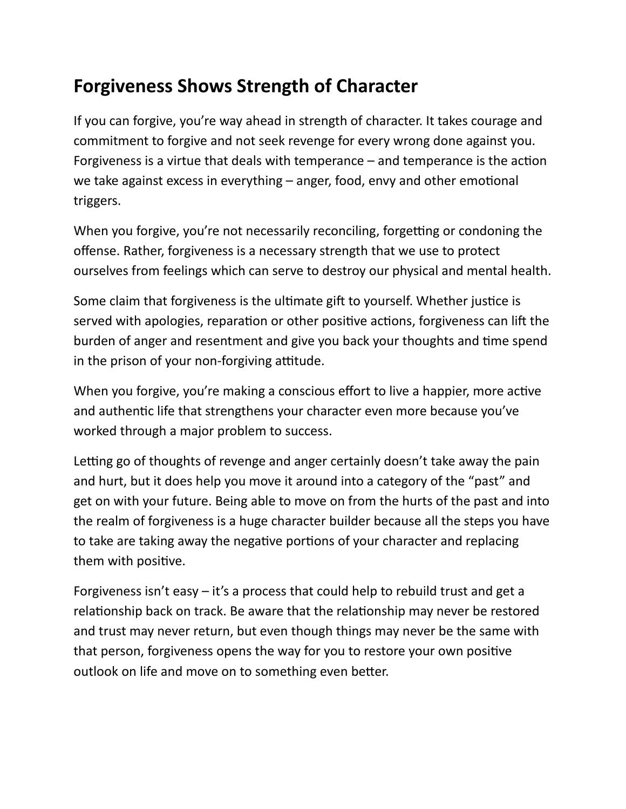## **Forgiveness Shows Strength of Character**

If you can forgive, you're way ahead in strength of character. It takes courage and commitment to forgive and not seek revenge for every wrong done against you. Forgiveness is a virtue that deals with temperance  $-$  and temperance is the action we take against excess in everything  $-$  anger, food, envy and other emotional triggers.

When you forgive, you're not necessarily reconciling, forgetting or condoning the offense. Rather, forgiveness is a necessary strength that we use to protect ourselves from feelings which can serve to destroy our physical and mental health.

Some claim that forgiveness is the ultimate gift to yourself. Whether justice is served with apologies, reparation or other positive actions, forgiveness can lift the burden of anger and resentment and give you back your thoughts and time spend in the prison of your non-forgiving attitude.

When you forgive, you're making a conscious effort to live a happier, more active and authentic life that strengthens your character even more because you've worked through a major problem to success.

Letting go of thoughts of revenge and anger certainly doesn't take away the pain and hurt, but it does help you move it around into a category of the "past" and get on with your future. Being able to move on from the hurts of the past and into the realm of forgiveness is a huge character builder because all the steps you have to take are taking away the negative portions of your character and replacing them with positive.

Forgiveness isn't easy  $-$  it's a process that could help to rebuild trust and get a relationship back on track. Be aware that the relationship may never be restored and trust may never return, but even though things may never be the same with that person, forgiveness opens the way for you to restore your own positive outlook on life and move on to something even better.